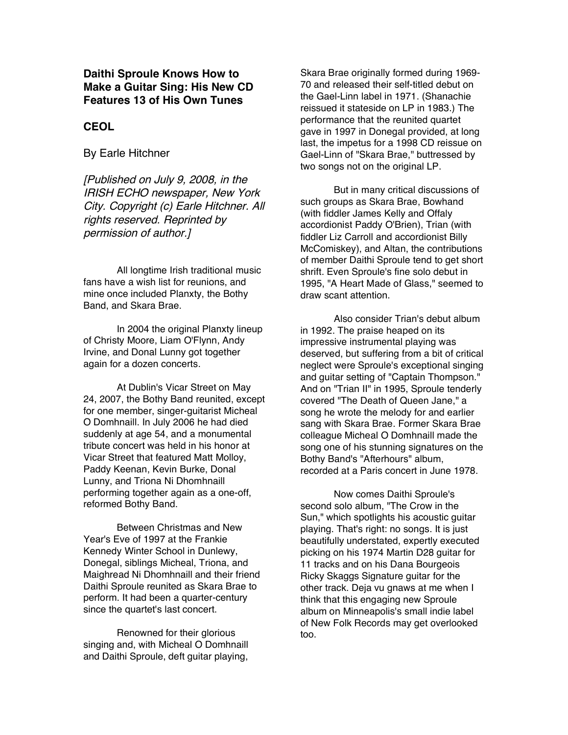**Daithi Sproule Knows How to Make a Guitar Sing: His New CD Features 13 of His Own Tunes**

## **CEOL**

By Earle Hitchner

[Published on July 9, 2008, in the IRISH ECHO newspaper, New York City. Copyright (c) Earle Hitchner. All rights reserved. Reprinted by permission of author.]

All longtime Irish traditional music fans have a wish list for reunions, and mine once included Planxty, the Bothy Band, and Skara Brae.

In 2004 the original Planxty lineup of Christy Moore, Liam O'Flynn, Andy Irvine, and Donal Lunny got together again for a dozen concerts.

At Dublin's Vicar Street on May 24, 2007, the Bothy Band reunited, except for one member, singer-guitarist Micheal O Domhnaill. In July 2006 he had died suddenly at age 54, and a monumental tribute concert was held in his honor at Vicar Street that featured Matt Molloy, Paddy Keenan, Kevin Burke, Donal Lunny, and Triona Ni Dhomhnaill performing together again as a one-off, reformed Bothy Band.

Between Christmas and New Year's Eve of 1997 at the Frankie Kennedy Winter School in Dunlewy, Donegal, siblings Micheal, Triona, and Maighread Ni Dhomhnaill and their friend Daithi Sproule reunited as Skara Brae to perform. It had been a quarter-century since the quartet's last concert.

Renowned for their glorious singing and, with Micheal O Domhnaill and Daithi Sproule, deft guitar playing,

Skara Brae originally formed during 1969- 70 and released their self-titled debut on the Gael-Linn label in 1971. (Shanachie reissued it stateside on LP in 1983.) The performance that the reunited quartet gave in 1997 in Donegal provided, at long last, the impetus for a 1998 CD reissue on Gael-Linn of "Skara Brae," buttressed by two songs not on the original LP.

But in many critical discussions of such groups as Skara Brae, Bowhand (with fiddler James Kelly and Offaly accordionist Paddy O'Brien), Trian (with fiddler Liz Carroll and accordionist Billy McComiskey), and Altan, the contributions of member Daithi Sproule tend to get short shrift. Even Sproule's fine solo debut in 1995, "A Heart Made of Glass," seemed to draw scant attention.

Also consider Trian's debut album in 1992. The praise heaped on its impressive instrumental playing was deserved, but suffering from a bit of critical neglect were Sproule's exceptional singing and guitar setting of "Captain Thompson." And on "Trian II" in 1995, Sproule tenderly covered "The Death of Queen Jane," a song he wrote the melody for and earlier sang with Skara Brae. Former Skara Brae colleague Micheal O Domhnaill made the song one of his stunning signatures on the Bothy Band's "Afterhours" album, recorded at a Paris concert in June 1978.

Now comes Daithi Sproule's second solo album, "The Crow in the Sun," which spotlights his acoustic guitar playing. That's right: no songs. It is just beautifully understated, expertly executed picking on his 1974 Martin D28 guitar for 11 tracks and on his Dana Bourgeois Ricky Skaggs Signature guitar for the other track. Deja vu gnaws at me when I think that this engaging new Sproule album on Minneapolis's small indie label of New Folk Records may get overlooked too.